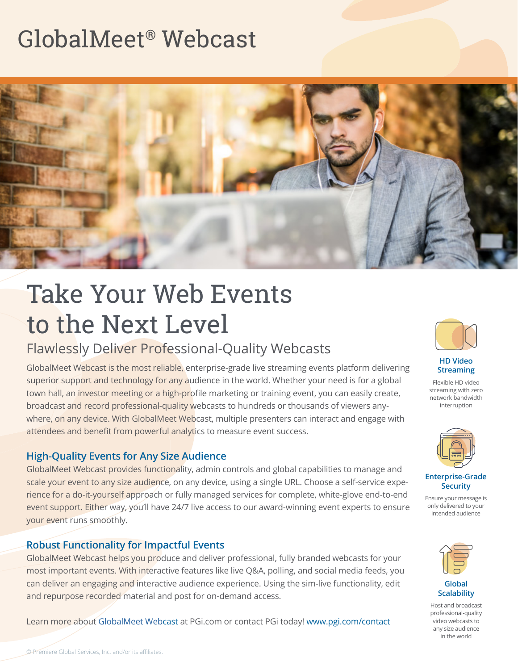

# Take Your Web Events to the Next Level

# Flawlessly Deliver Professional-Quality Webcasts

GlobalMeet Webcast is the most reliable, enterprise-grade live streaming events platform delivering superior support and technology for any audience in the world. Whether your need is for a global town hall, an investor meeting or a high-profile marketing or training event, you can easily create, broadcast and record professional-quality webcasts to hundreds or thousands of viewers anywhere, on any device. With GlobalMeet Webcast, multiple presenters can interact and engage with attendees and benefit from powerful analytics to measure event success.

#### **High-Quality Events for Any Size Audience**

GlobalMeet Webcast provides functionality, admin controls and global capabilities to manage and scale your event to any size audience, on any device, using a single URL. Choose a self-service experience for a do-it-yourself approach or fully managed services for complete, white-glove end-to-end event support. Either way, you'll have 24/7 live access to our award-winning event experts to ensure your event runs smoothly.

#### **Robust Functionality for Impactful Events**

GlobalMeet Webcast helps you produce and deliver professional, fully branded webcasts for your most important events. With interactive features like live Q&A, polling, and social media feeds, you can deliver an engaging and interactive audience experience. Using the sim-live functionality, edit and repurpose recorded material and post for on-demand access.

Learn more about [GlobalMeet Web](https://www.pgi.com/products/globalmeet/webcast/)cast at PGi.com or contact PGi today! [www.pgi.com/contact](http://www.pgi.com/contact)



**HD Video Streaming**

Flexible HD video streaming with zero network bandwidth interruption



**Enterprise-Grade Security**

Ensure your message is only delivered to your intended audience



**Global Scalability**

Host and broadcast professional-quality video webcasts to any size audience in the world